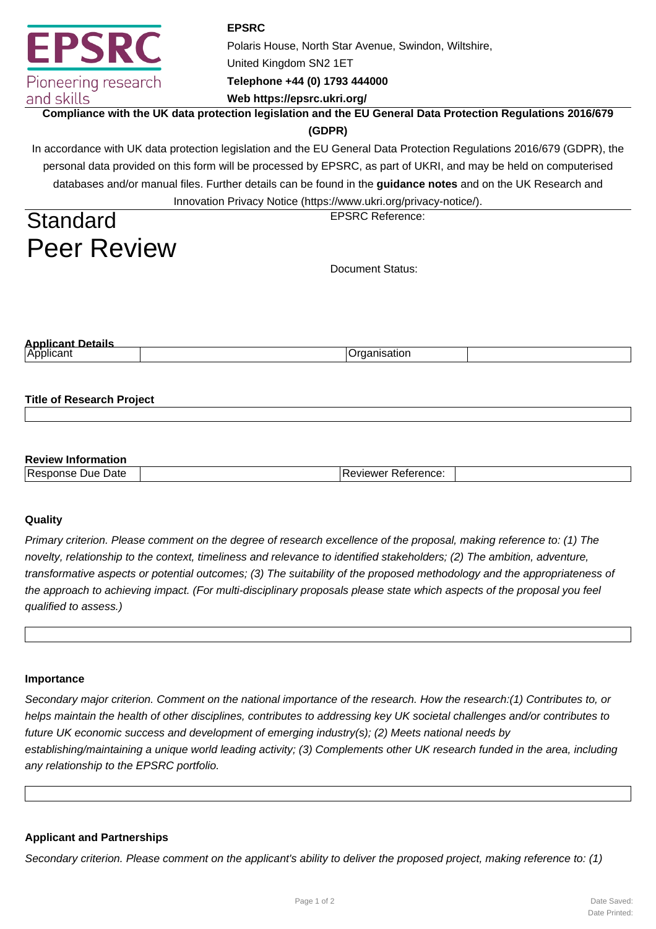

# **EPSRC**

Polaris House, North Star Avenue, Swindon, Wiltshire, United Kingdom SN2 1ET

**Telephone +44 (0) 1793 444000**

**Web https://epsrc.ukri.org/**

**Compliance with the UK data protection legislation and the EU General Data Protection Regulations 2016/679**

# **(GDPR)**

In accordance with UK data protection legislation and the EU General Data Protection Regulations 2016/679 (GDPR), the personal data provided on this form will be processed by EPSRC, as part of UKRI, and may be held on computerised databases and/or manual files. Further details can be found in the **guidance notes** and on the UK Research and Innovation Privacy Notice (https://www.ukri.org/privacy-notice/).

# **Standard** Peer Review

EPSRC Reference:

Document Status:

| . .<br>Applio<br>. |  |
|--------------------|--|
| Annlican           |  |

# **Title of Research Project**

## **Review Information**

| <b>IRes</b><br>Date<br>Jue<br>лізе | $\sim$<br><br>w۴<br>17. LE<br>. EI IUU. |  |
|------------------------------------|-----------------------------------------|--|
|                                    |                                         |  |

## **Quality**

Primary criterion. Please comment on the degree of research excellence of the proposal, making reference to: (1) The novelty, relationship to the context, timeliness and relevance to identified stakeholders; (2) The ambition, adventure, transformative aspects or potential outcomes; (3) The suitability of the proposed methodology and the appropriateness of the approach to achieving impact. (For multi-disciplinary proposals please state which aspects of the proposal you feel qualified to assess.)

#### **Importance**

Secondary major criterion. Comment on the national importance of the research. How the research:(1) Contributes to, or helps maintain the health of other disciplines, contributes to addressing key UK societal challenges and/or contributes to future UK economic success and development of emerging industry(s); (2) Meets national needs by establishing/maintaining a unique world leading activity; (3) Complements other UK research funded in the area, including any relationship to the EPSRC portfolio.

## **Applicant and Partnerships**

Secondary criterion. Please comment on the applicant's ability to deliver the proposed project, making reference to: (1)